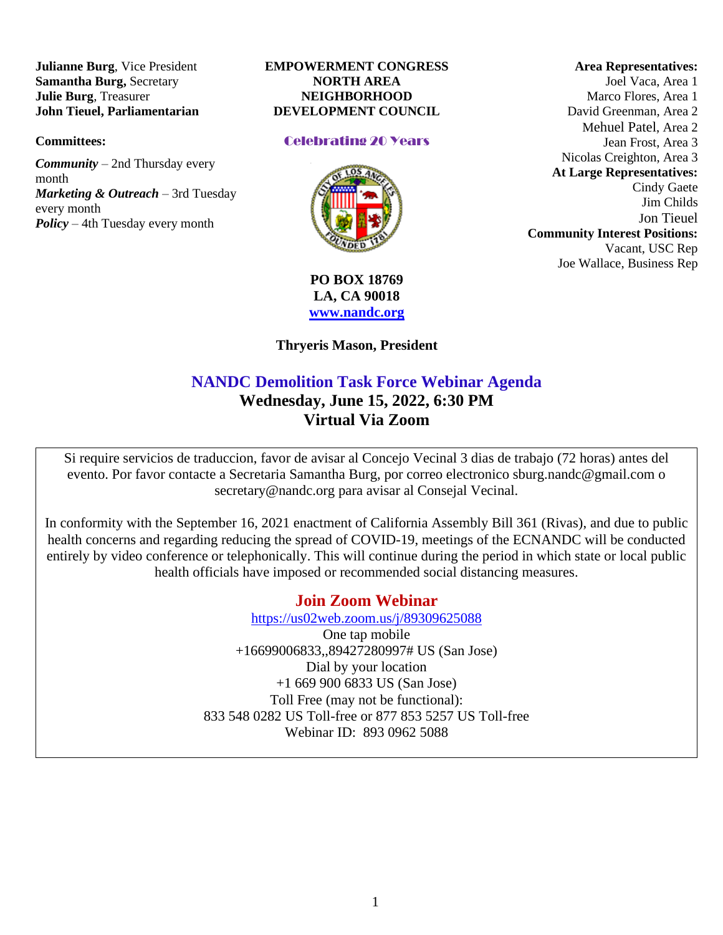**Julianne Burg**, Vice President **Samantha Burg,** Secretary **Julie Burg**, Treasurer **John Tieuel, Parliamentarian**

#### **Committees:**

*Community* – 2nd Thursday every month *Marketing & Outreach* – 3rd Tuesday every month *Policy* – 4th Tuesday every month

#### **EMPOWERMENT CONGRESS NORTH AREA NEIGHBORHOOD DEVELOPMENT COUNCIL**

#### Celebrating 20 Years



### **PO BOX 18769 LA, CA 90018 [www.nandc.org](http://www.nandc.org/)**

### **Thryeris Mason, President**

# **NANDC Demolition Task Force Webinar Agenda Wednesday, June 15, 2022, 6:30 PM Virtual Via Zoom**

Si require servicios de traduccion, favor de avisar al Concejo Vecinal 3 dias de trabajo (72 horas) antes del evento. Por favor contacte a Secretaria Samantha Burg, por correo electronico sburg.nandc@gmail.com o secretary@nandc.org para avisar al Consejal Vecinal.

In conformity with the September 16, 2021 enactment of California Assembly Bill 361 (Rivas), and due to public health concerns and regarding reducing the spread of COVID-19, meetings of the ECNANDC will be conducted entirely by video conference or telephonically. This will continue during the period in which state or local public health officials have imposed or recommended social distancing measures.

## **Join Zoom Webinar**

<https://us02web.zoom.us/j/89309625088> One tap mobile +16699006833,,89427280997# US (San Jose) Dial by your location +1 669 900 6833 US (San Jose) Toll Free (may not be functional): 833 548 0282 US Toll-free or 877 853 5257 US Toll-free Webinar ID: 893 0962 5088

### **Area Representatives:**

Joel Vaca, Area 1 Marco Flores, Area 1 David Greenman, Area 2 Mehuel Patel, Area 2 Jean Frost, Area 3 Nicolas Creighton, Area 3 **At Large Representatives:** Cindy Gaete Jim Childs Jon Tieuel **Community Interest Positions:** Vacant, USC Rep Joe Wallace, Business Rep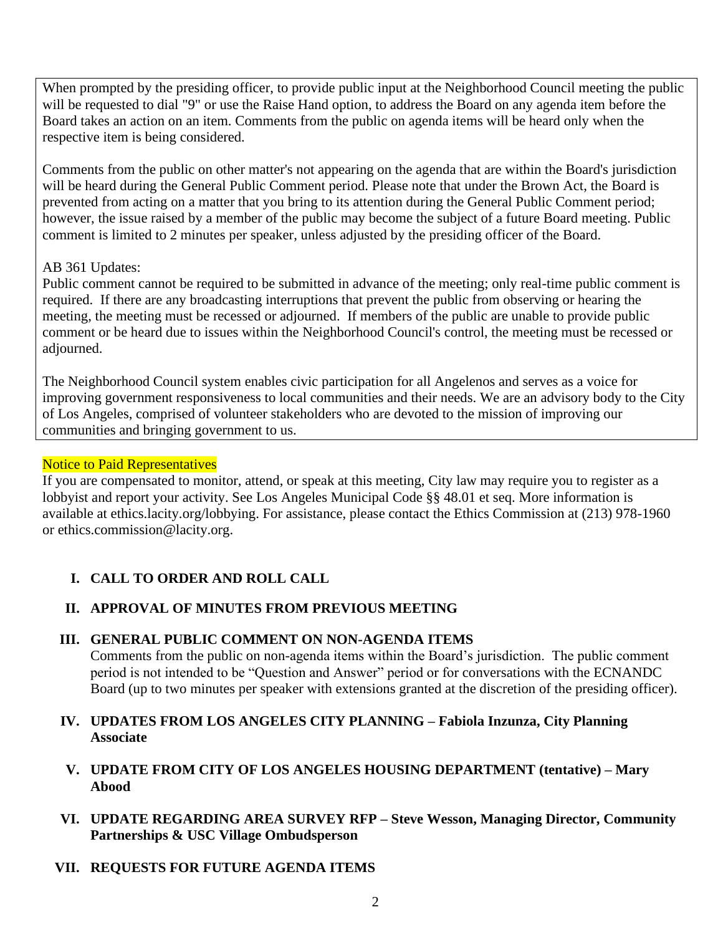When prompted by the presiding officer, to provide public input at the Neighborhood Council meeting the public will be requested to dial "9" or use the Raise Hand option, to address the Board on any agenda item before the Board takes an action on an item. Comments from the public on agenda items will be heard only when the respective item is being considered.

Comments from the public on other matter's not appearing on the agenda that are within the Board's jurisdiction will be heard during the General Public Comment period. Please note that under the Brown Act, the Board is prevented from acting on a matter that you bring to its attention during the General Public Comment period; however, the issue raised by a member of the public may become the subject of a future Board meeting. Public comment is limited to 2 minutes per speaker, unless adjusted by the presiding officer of the Board.

# AB 361 Updates:

Public comment cannot be required to be submitted in advance of the meeting; only real-time public comment is required. If there are any broadcasting interruptions that prevent the public from observing or hearing the meeting, the meeting must be recessed or adjourned. If members of the public are unable to provide public comment or be heard due to issues within the Neighborhood Council's control, the meeting must be recessed or adjourned.

The Neighborhood Council system enables civic participation for all Angelenos and serves as a voice for improving government responsiveness to local communities and their needs. We are an advisory body to the City of Los Angeles, comprised of volunteer stakeholders who are devoted to the mission of improving our communities and bringing government to us.

## Notice to Paid Representatives

If you are compensated to monitor, attend, or speak at this meeting, City law may require you to register as a lobbyist and report your activity. See Los Angeles Municipal Code §§ 48.01 et seq. More information is available at ethics.lacity.org/lobbying. For assistance, please contact the Ethics Commission at (213) 978-1960 or ethics.commission@lacity.org.

# **I. CALL TO ORDER AND ROLL CALL**

# **II. APPROVAL OF MINUTES FROM PREVIOUS MEETING**

## **III. GENERAL PUBLIC COMMENT ON NON-AGENDA ITEMS**

Comments from the public on non-agenda items within the Board's jurisdiction. The public comment period is not intended to be "Question and Answer" period or for conversations with the ECNANDC Board (up to two minutes per speaker with extensions granted at the discretion of the presiding officer).

## **IV. UPDATES FROM LOS ANGELES CITY PLANNING – Fabiola Inzunza, City Planning Associate**

- **V. UPDATE FROM CITY OF LOS ANGELES HOUSING DEPARTMENT (tentative) – Mary Abood**
- **VI. UPDATE REGARDING AREA SURVEY RFP – Steve Wesson, Managing Director, Community Partnerships & USC Village Ombudsperson**
- **VII. REQUESTS FOR FUTURE AGENDA ITEMS**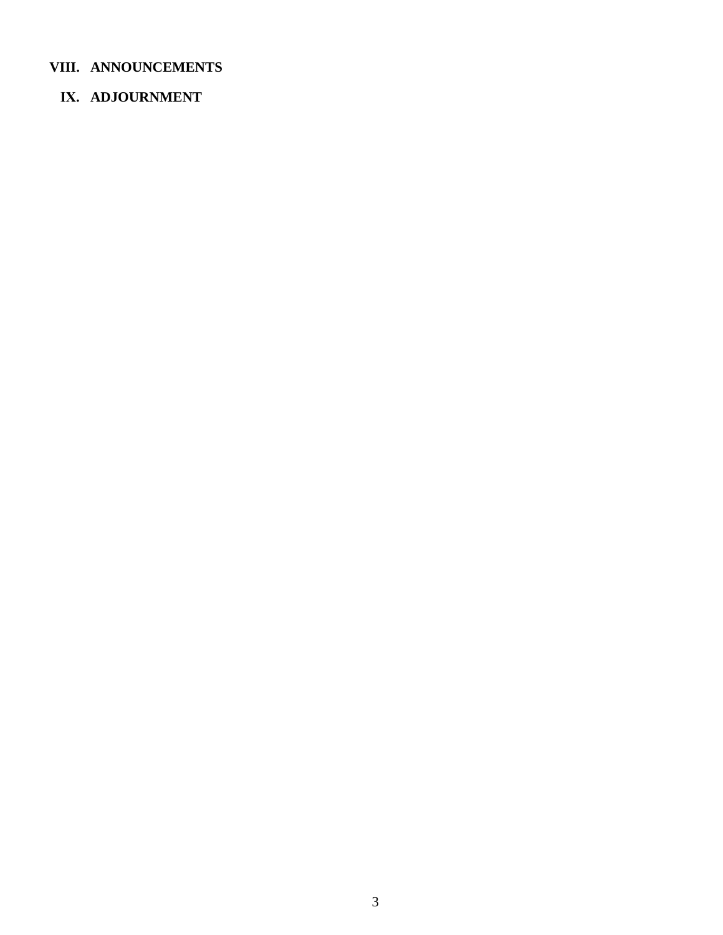# **VIII. ANNOUNCEMENTS**

# **IX. ADJOURNMENT**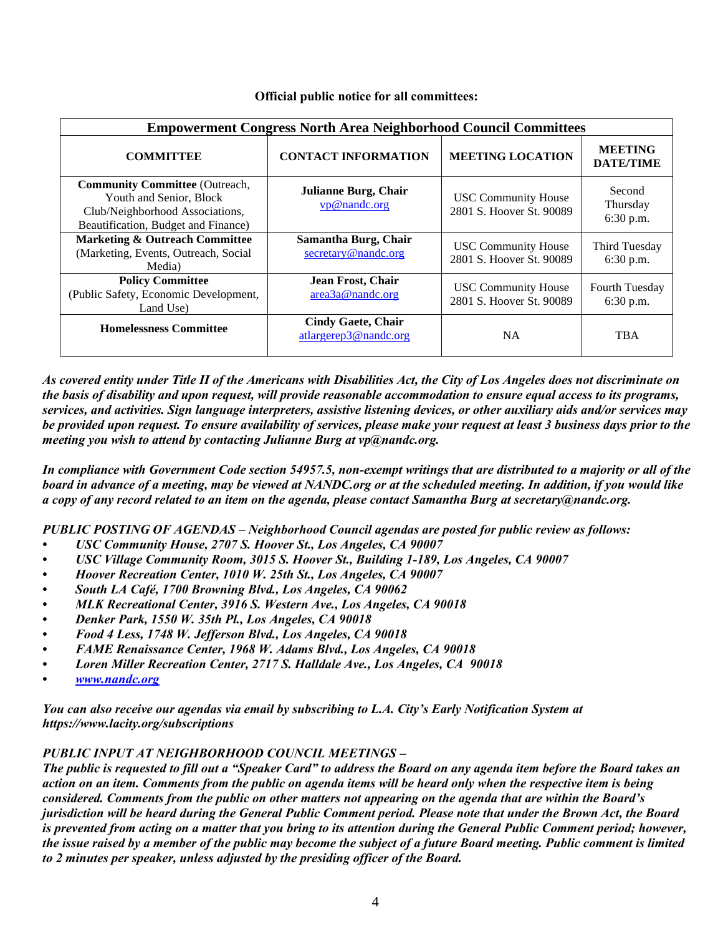#### **Official public notice for all committees:**

| <b>Empowerment Congress North Area Neighborhood Council Committees</b>                                                                     |                                                    |                                                        |                                    |
|--------------------------------------------------------------------------------------------------------------------------------------------|----------------------------------------------------|--------------------------------------------------------|------------------------------------|
| <b>COMMITTEE</b>                                                                                                                           | <b>CONTACT INFORMATION</b>                         | <b>MEETING LOCATION</b>                                | <b>MEETING</b><br><b>DATE/TIME</b> |
| <b>Community Committee (Outreach,</b><br>Youth and Senior, Block<br>Club/Neighborhood Associations,<br>Beautification, Budget and Finance) | Julianne Burg, Chair<br>vp@nandc.org               | <b>USC Community House</b><br>2801 S. Hoover St. 90089 | Second<br>Thursday<br>6:30 p.m.    |
| <b>Marketing &amp; Outreach Committee</b><br>(Marketing, Events, Outreach, Social<br>Media)                                                | Samantha Burg, Chair<br>secretary@nandc.org        | <b>USC Community House</b><br>2801 S. Hoover St. 90089 | Third Tuesday<br>6:30 p.m.         |
| <b>Policy Committee</b><br>(Public Safety, Economic Development,<br>Land Use)                                                              | Jean Frost, Chair<br>area3a@nandc.org              | <b>USC Community House</b><br>2801 S. Hoover St. 90089 | <b>Fourth Tuesday</b><br>6:30 p.m. |
| <b>Homelessness Committee</b>                                                                                                              | <b>Cindy Gaete, Chair</b><br>atlargerep3@nandc.org | <b>NA</b>                                              | <b>TBA</b>                         |

*As covered entity under Title II of the Americans with Disabilities Act, the City of Los Angeles does not discriminate on the basis of disability and upon request, will provide reasonable accommodation to ensure equal access to its programs, services, and activities. Sign language interpreters, assistive listening devices, or other auxiliary aids and/or services may be provided upon request. To ensure availability of services, please make your request at least 3 business days prior to the meeting you wish to attend by contacting Julianne Burg at vp@nandc.org.*

*In compliance with Government Code section 54957.5, non-exempt writings that are distributed to a majority or all of the board in advance of a meeting, may be viewed at NANDC.org or at the scheduled meeting. In addition, if you would like a copy of any record related to an item on the agenda, please contact Samantha Burg at secretary@nandc.org.*

*PUBLIC POSTING OF AGENDAS – Neighborhood Council agendas are posted for public review as follows:*

- *• USC Community House, 2707 S. Hoover St., Los Angeles, CA 90007*
- *• USC Village Community Room, 3015 S. Hoover St., Building 1-189, Los Angeles, CA 90007*
- *• Hoover Recreation Center, 1010 W. 25th St., Los Angeles, CA 90007*
- *• South LA Café, 1700 Browning Blvd., Los Angeles, CA 90062*
- *• MLK Recreational Center, 3916 S. Western Ave., Los Angeles, CA 90018*
- *• Denker Park, 1550 W. 35th Pl., Los Angeles, CA 90018*
- *• Food 4 Less, 1748 W. Jefferson Blvd., Los Angeles, CA 90018*
- *• FAME Renaissance Center, 1968 W. Adams Blvd., Los Angeles, CA 90018*
- *• Loren Miller Recreation Center, 2717 S. Halldale Ave., Los Angeles, CA 90018*
- *• [www.nandc.org](http://www.nandc.org/)*

*You can also receive our agendas via email by subscribing to L.A. City's Early Notification System at https://www.lacity.org/subscriptions*

### *PUBLIC INPUT AT NEIGHBORHOOD COUNCIL MEETINGS –*

*The public is requested to fill out a "Speaker Card" to address the Board on any agenda item before the Board takes an action on an item. Comments from the public on agenda items will be heard only when the respective item is being considered. Comments from the public on other matters not appearing on the agenda that are within the Board's jurisdiction will be heard during the General Public Comment period. Please note that under the Brown Act, the Board is prevented from acting on a matter that you bring to its attention during the General Public Comment period; however, the issue raised by a member of the public may become the subject of a future Board meeting. Public comment is limited to 2 minutes per speaker, unless adjusted by the presiding officer of the Board.*